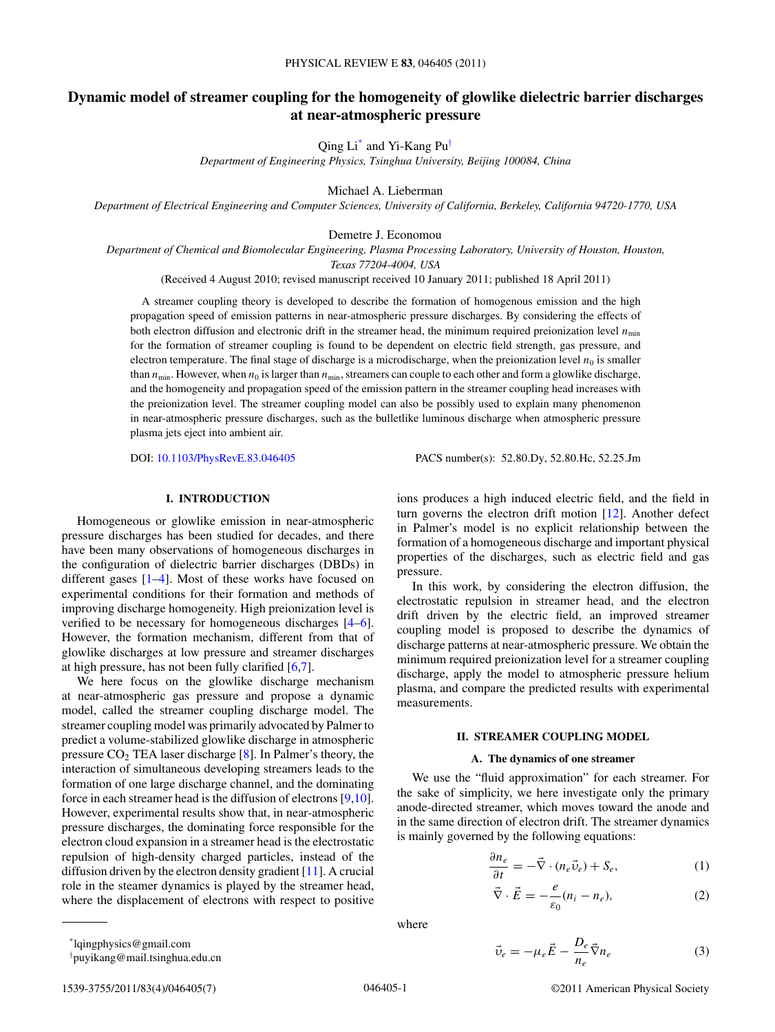# <span id="page-0-0"></span>**Dynamic model of streamer coupling for the homogeneity of glowlike dielectric barrier discharges at near-atmospheric pressure**

Qing Li\* and Yi-Kang Pu†

*Department of Engineering Physics, Tsinghua University, Beijing 100084, China*

Michael A. Lieberman

*Department of Electrical Engineering and Computer Sciences, University of California, Berkeley, California 94720-1770, USA*

Demetre J. Economou

*Department of Chemical and Biomolecular Engineering, Plasma Processing Laboratory, University of Houston, Houston, Texas 77204-4004, USA*

(Received 4 August 2010; revised manuscript received 10 January 2011; published 18 April 2011)

A streamer coupling theory is developed to describe the formation of homogenous emission and the high propagation speed of emission patterns in near-atmospheric pressure discharges. By considering the effects of both electron diffusion and electronic drift in the streamer head, the minimum required preionization level  $n_{\text{min}}$ for the formation of streamer coupling is found to be dependent on electric field strength, gas pressure, and electron temperature. The final stage of discharge is a microdischarge, when the preionization level  $n_0$  is smaller than  $n_{\text{min}}$ . However, when  $n_0$  is larger than  $n_{\text{min}}$ , streamers can couple to each other and form a glowlike discharge, and the homogeneity and propagation speed of the emission pattern in the streamer coupling head increases with the preionization level. The streamer coupling model can also be possibly used to explain many phenomenon in near-atmospheric pressure discharges, such as the bulletlike luminous discharge when atmospheric pressure plasma jets eject into ambient air.

DOI: [10.1103/PhysRevE.83.046405](http://dx.doi.org/10.1103/PhysRevE.83.046405) PACS number(s): 52*.*80*.*Dy, 52*.*80*.*Hc, 52*.*25*.*Jm

# **I. INTRODUCTION**

Homogeneous or glowlike emission in near-atmospheric pressure discharges has been studied for decades, and there have been many observations of homogeneous discharges in the configuration of dielectric barrier discharges (DBDs) in different gases [\[1–4\]](#page-6-0). Most of these works have focused on experimental conditions for their formation and methods of improving discharge homogeneity. High preionization level is verified to be necessary for homogeneous discharges [\[4–6\]](#page-6-0). However, the formation mechanism, different from that of glowlike discharges at low pressure and streamer discharges at high pressure, has not been fully clarified [\[6,7\]](#page-6-0).

We here focus on the glowlike discharge mechanism at near-atmospheric gas pressure and propose a dynamic model, called the streamer coupling discharge model. The streamer coupling model was primarily advocated by Palmer to predict a volume-stabilized glowlike discharge in atmospheric pressure  $CO<sub>2</sub>$  TEA laser discharge [\[8\]](#page-6-0). In Palmer's theory, the interaction of simultaneous developing streamers leads to the formation of one large discharge channel, and the dominating force in each streamer head is the diffusion of electrons [\[9,10\]](#page-6-0). However, experimental results show that, in near-atmospheric pressure discharges, the dominating force responsible for the electron cloud expansion in a streamer head is the electrostatic repulsion of high-density charged particles, instead of the diffusion driven by the electron density gradient [\[11\]](#page-6-0). A crucial role in the steamer dynamics is played by the streamer head, where the displacement of electrons with respect to positive

ions produces a high induced electric field, and the field in turn governs the electron drift motion [\[12\]](#page-6-0). Another defect in Palmer's model is no explicit relationship between the formation of a homogeneous discharge and important physical properties of the discharges, such as electric field and gas pressure.

In this work, by considering the electron diffusion, the electrostatic repulsion in streamer head, and the electron drift driven by the electric field, an improved streamer coupling model is proposed to describe the dynamics of discharge patterns at near-atmospheric pressure. We obtain the minimum required preionization level for a streamer coupling discharge, apply the model to atmospheric pressure helium plasma, and compare the predicted results with experimental measurements.

# **II. STREAMER COUPLING MODEL**

# **A. The dynamics of one streamer**

We use the "fluid approximation" for each streamer. For the sake of simplicity, we here investigate only the primary anode-directed streamer, which moves toward the anode and in the same direction of electron drift. The streamer dynamics is mainly governed by the following equations:

$$
\frac{\partial n_e}{\partial t} = -\vec{\nabla} \cdot (n_e \vec{\upsilon}_e) + S_e, \tag{1}
$$

$$
\vec{\nabla} \cdot \vec{E} = -\frac{e}{\varepsilon_0} (n_i - n_e), \tag{2}
$$

where

$$
\vec{\nu}_e = -\mu_e \vec{E} - \frac{D_e}{n_e} \vec{\nabla} n_e \tag{3}
$$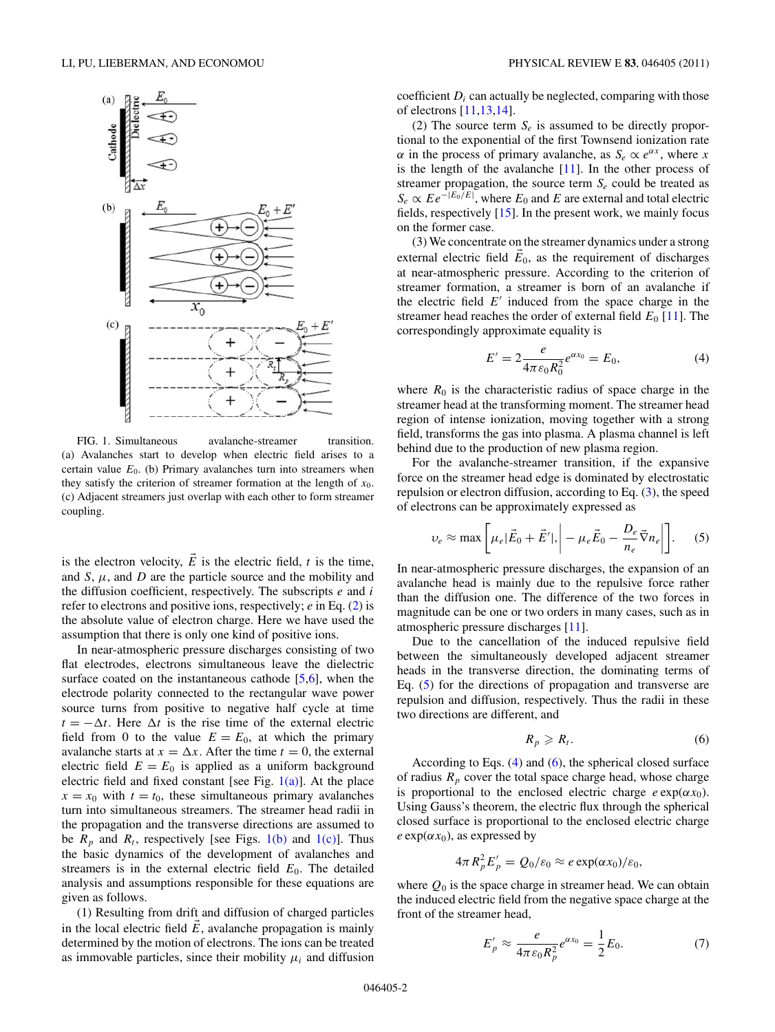<span id="page-1-0"></span>

FIG. 1. Simultaneous avalanche-streamer transition. (a) Avalanches start to develop when electric field arises to a certain value  $E_0$ . (b) Primary avalanches turn into streamers when they satisfy the criterion of streamer formation at the length of  $x_0$ . (c) Adjacent streamers just overlap with each other to form streamer coupling.

is the electron velocity,  $E$  is the electric field,  $t$  is the time, and *S*,  $\mu$ , and *D* are the particle source and the mobility and the diffusion coefficient, respectively. The subscripts *e* and *i* refer to electrons and positive ions, respectively; *e* in Eq. [\(2\)](#page-0-0) is the absolute value of electron charge. Here we have used the assumption that there is only one kind of positive ions.

In near-atmospheric pressure discharges consisting of two flat electrodes, electrons simultaneous leave the dielectric surface coated on the instantaneous cathode  $[5,6]$ , when the electrode polarity connected to the rectangular wave power source turns from positive to negative half cycle at time  $t = -\Delta t$ . Here  $\Delta t$  is the rise time of the external electric field from 0 to the value  $E = E_0$ , at which the primary avalanche starts at  $x = \Delta x$ . After the time  $t = 0$ , the external electric field  $E = E_0$  is applied as a uniform background electric field and fixed constant [see Fig.  $1(a)$ ]. At the place  $x = x_0$  with  $t = t_0$ , these simultaneous primary avalanches turn into simultaneous streamers. The streamer head radii in the propagation and the transverse directions are assumed to be  $R_p$  and  $R_t$ , respectively [see Figs. 1(b) and 1(c)]. Thus the basic dynamics of the development of avalanches and streamers is in the external electric field  $E_0$ . The detailed analysis and assumptions responsible for these equations are given as follows.

(1) Resulting from drift and diffusion of charged particles in the local electric field  $E$ , avalanche propagation is mainly determined by the motion of electrons. The ions can be treated as immovable particles, since their mobility  $\mu_i$  and diffusion coefficient  $D_i$  can actually be neglected, comparing with those of electrons [\[11,13,14\]](#page-6-0).

(2) The source term  $S_e$  is assumed to be directly proportional to the exponential of the first Townsend ionization rate *α* in the process of primary avalanche, as  $S_e \propto e^{\alpha x}$ , where *x* is the length of the avalanche [\[11\]](#page-6-0). In the other process of streamer propagation, the source term  $S_e$  could be treated as  $S_e \propto E e^{-|E_0/E|}$ , where  $E_0$  and *E* are external and total electric fields, respectively  $[15]$ . In the present work, we mainly focus on the former case.

(3) We concentrate on the streamer dynamics under a strong external electric field  $E_0$ , as the requirement of discharges at near-atmospheric pressure. According to the criterion of streamer formation, a streamer is born of an avalanche if the electric field  $E'$  induced from the space charge in the streamer head reaches the order of external field  $E_0$  [\[11\]](#page-6-0). The correspondingly approximate equality is

$$
E' = 2 \frac{e}{4\pi \varepsilon_0 R_0^2} e^{\alpha x_0} = E_0,
$$
 (4)

where  $R_0$  is the characteristic radius of space charge in the streamer head at the transforming moment. The streamer head region of intense ionization, moving together with a strong field, transforms the gas into plasma. A plasma channel is left behind due to the production of new plasma region.

For the avalanche-streamer transition, if the expansive force on the streamer head edge is dominated by electrostatic repulsion or electron diffusion, according to Eq. [\(3\)](#page-0-0), the speed of electrons can be approximately expressed as

$$
\upsilon_e \approx \max \left[ \mu_e |\vec{E}_0 + \vec{E}'|, \left| -\mu_e \vec{E}_0 - \frac{D_e}{n_e} \vec{\nabla} n_e \right| \right]. \tag{5}
$$

In near-atmospheric pressure discharges, the expansion of an avalanche head is mainly due to the repulsive force rather than the diffusion one. The difference of the two forces in magnitude can be one or two orders in many cases, such as in atmospheric pressure discharges [\[11\]](#page-6-0).

Due to the cancellation of the induced repulsive field between the simultaneously developed adjacent streamer heads in the transverse direction, the dominating terms of Eq. (5) for the directions of propagation and transverse are repulsion and diffusion, respectively. Thus the radii in these two directions are different, and

$$
R_p \geqslant R_t. \tag{6}
$$

According to Eqs.  $(4)$  and  $(6)$ , the spherical closed surface of radius  $R_p$  cover the total space charge head, whose charge is proportional to the enclosed electric charge  $e \exp(\alpha x_0)$ . Using Gauss's theorem, the electric flux through the spherical closed surface is proportional to the enclosed electric charge  $e \exp(\alpha x_0)$ , as expressed by

$$
4\pi R_p^2 E'_p = Q_0/\varepsilon_0 \approx e \exp(\alpha x_0)/\varepsilon_0,
$$

where *Q*<sup>0</sup> is the space charge in streamer head. We can obtain the induced electric field from the negative space charge at the front of the streamer head,

$$
E'_{p} \approx \frac{e}{4\pi\varepsilon_{0}R_{p}^{2}}e^{\alpha x_{0}} = \frac{1}{2}E_{0}.
$$
 (7)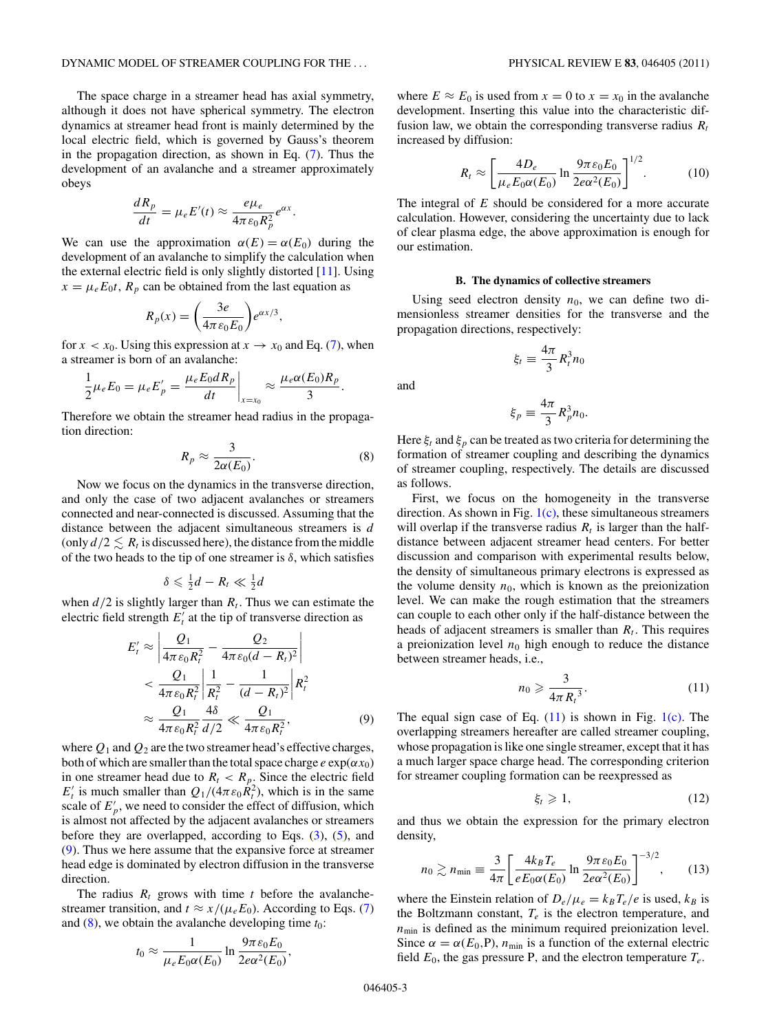<span id="page-2-0"></span>The space charge in a streamer head has axial symmetry, although it does not have spherical symmetry. The electron dynamics at streamer head front is mainly determined by the local electric field, which is governed by Gauss's theorem in the propagation direction, as shown in Eq. [\(7\)](#page-1-0). Thus the development of an avalanche and a streamer approximately obeys

$$
\frac{dR_p}{dt} = \mu_e E'(t) \approx \frac{e\mu_e}{4\pi \varepsilon_0 R_p^2} e^{\alpha x}.
$$

We can use the approximation  $\alpha(E) = \alpha(E_0)$  during the development of an avalanche to simplify the calculation when the external electric field is only slightly distorted [\[11\]](#page-6-0). Using  $x = \mu_e E_0 t$ ,  $R_p$  can be obtained from the last equation as

$$
R_p(x) = \left(\frac{3e}{4\pi\varepsilon_0 E_0}\right) e^{\alpha x/3},
$$

for  $x < x_0$ . Using this expression at  $x \to x_0$  and Eq. [\(7\)](#page-1-0), when a streamer is born of an avalanche:

$$
\frac{1}{2}\mu_e E_0 = \mu_e E'_p = \frac{\mu_e E_0 d R_p}{dt}\bigg|_{x=x_0} \approx \frac{\mu_e \alpha(E_0) R_p}{3}.
$$

Therefore we obtain the streamer head radius in the propagation direction:

$$
R_p \approx \frac{3}{2\alpha(E_0)}.\tag{8}
$$

Now we focus on the dynamics in the transverse direction, and only the case of two adjacent avalanches or streamers connected and near-connected is discussed. Assuming that the distance between the adjacent simultaneous streamers is *d* (only  $d/2 \le R_t$  is discussed here), the distance from the middle of the two heads to the tip of one streamer is *δ*, which satisfies

$$
\delta\leqslant \tfrac{1}{2}d-R_t\ll \tfrac{1}{2}d
$$

when  $d/2$  is slightly larger than  $R_t$ . Thus we can estimate the electric field strength  $E'_t$  at the tip of transverse direction as

$$
E'_t \approx \left| \frac{Q_1}{4\pi \varepsilon_0 R_t^2} - \frac{Q_2}{4\pi \varepsilon_0 (d - R_t)^2} \right|
$$
  

$$
< \frac{Q_1}{4\pi \varepsilon_0 R_t^2} \left| \frac{1}{R_t^2} - \frac{1}{(d - R_t)^2} \right| R_t^2
$$
  

$$
\approx \frac{Q_1}{4\pi \varepsilon_0 R_t^2} \frac{4\delta}{d/2} \ll \frac{Q_1}{4\pi \varepsilon_0 R_t^2},
$$
(9)

where  $Q_1$  and  $Q_2$  are the two streamer head's effective charges, both of which are smaller than the total space charge  $e \exp(\alpha x_0)$ in one streamer head due to  $R_t < R_p$ . Since the electric field *E*<sup> $t$ </sup> is much smaller than  $Q_1/(4\pi\varepsilon_0 \dot{R}_t^2)$ , which is in the same scale of  $E_p'$ , we need to consider the effect of diffusion, which is almost not affected by the adjacent avalanches or streamers before they are overlapped, according to Eqs.  $(3)$ ,  $(5)$ , and (9). Thus we here assume that the expansive force at streamer head edge is dominated by electron diffusion in the transverse direction.

The radius  $R_t$  grows with time  $t$  before the avalanchestreamer transition, and  $t \approx x/(\mu_e E_0)$ . According to Eqs. [\(7\)](#page-1-0) and  $(8)$ , we obtain the avalanche developing time  $t_0$ :

$$
t_0 \approx \frac{1}{\mu_e E_0 \alpha(E_0)} \ln \frac{9\pi \varepsilon_0 E_0}{2e\alpha^2(E_0)},
$$

where  $E \approx E_0$  is used from  $x = 0$  to  $x = x_0$  in the avalanche development. Inserting this value into the characteristic diffusion law, we obtain the corresponding transverse radius  $R_t$ increased by diffusion:

$$
R_t \approx \left[\frac{4D_e}{\mu_e E_0 \alpha(E_0)} \ln \frac{9\pi \varepsilon_0 E_0}{2e\alpha^2(E_0)}\right]^{1/2}.
$$
 (10)

The integral of *E* should be considered for a more accurate calculation. However, considering the uncertainty due to lack of clear plasma edge, the above approximation is enough for our estimation.

#### **B. The dynamics of collective streamers**

Using seed electron density  $n_0$ , we can define two dimensionless streamer densities for the transverse and the propagation directions, respectively:

$$
\xi_t \equiv \frac{4\pi}{3} R_t^3 n_0
$$

and

$$
\xi_p \equiv \frac{4\pi}{3} R_p^3 n_0.
$$

Here  $\xi_t$  and  $\xi_p$  can be treated as two criteria for determining the formation of streamer coupling and describing the dynamics of streamer coupling, respectively. The details are discussed as follows.

First, we focus on the homogeneity in the transverse direction. As shown in Fig.  $1(c)$ , these simultaneous streamers will overlap if the transverse radius  $R_t$  is larger than the halfdistance between adjacent streamer head centers. For better discussion and comparison with experimental results below, the density of simultaneous primary electrons is expressed as the volume density  $n_0$ , which is known as the preionization level. We can make the rough estimation that the streamers can couple to each other only if the half-distance between the heads of adjacent streamers is smaller than  $R_t$ . This requires a preionization level  $n_0$  high enough to reduce the distance between streamer heads, i.e.,

$$
n_0 \geqslant \frac{3}{4\pi R_t^3}.\tag{11}
$$

The equal sign case of Eq.  $(11)$  is shown in Fig.  $1(c)$ . The overlapping streamers hereafter are called streamer coupling, whose propagation is like one single streamer, except that it has a much larger space charge head. The corresponding criterion for streamer coupling formation can be reexpressed as

$$
\xi_t \geqslant 1,\tag{12}
$$

and thus we obtain the expression for the primary electron density,

$$
n_0 \gtrsim n_{\min} \equiv \frac{3}{4\pi} \left[ \frac{4k_B T_e}{eE_0 \alpha(E_0)} \ln \frac{9\pi \varepsilon_0 E_0}{2e\alpha^2(E_0)} \right]^{-3/2},\qquad(13)
$$

where the Einstein relation of  $D_e/\mu_e = k_B T_e/e$  is used,  $k_B$  is the Boltzmann constant,  $T_e$  is the electron temperature, and  $n_{\text{min}}$  is defined as the minimum required preionization level. Since  $\alpha = \alpha(E_0, P)$ ,  $n_{\text{min}}$  is a function of the external electric field *E*0, the gas pressure P*,* and the electron temperature *Te*.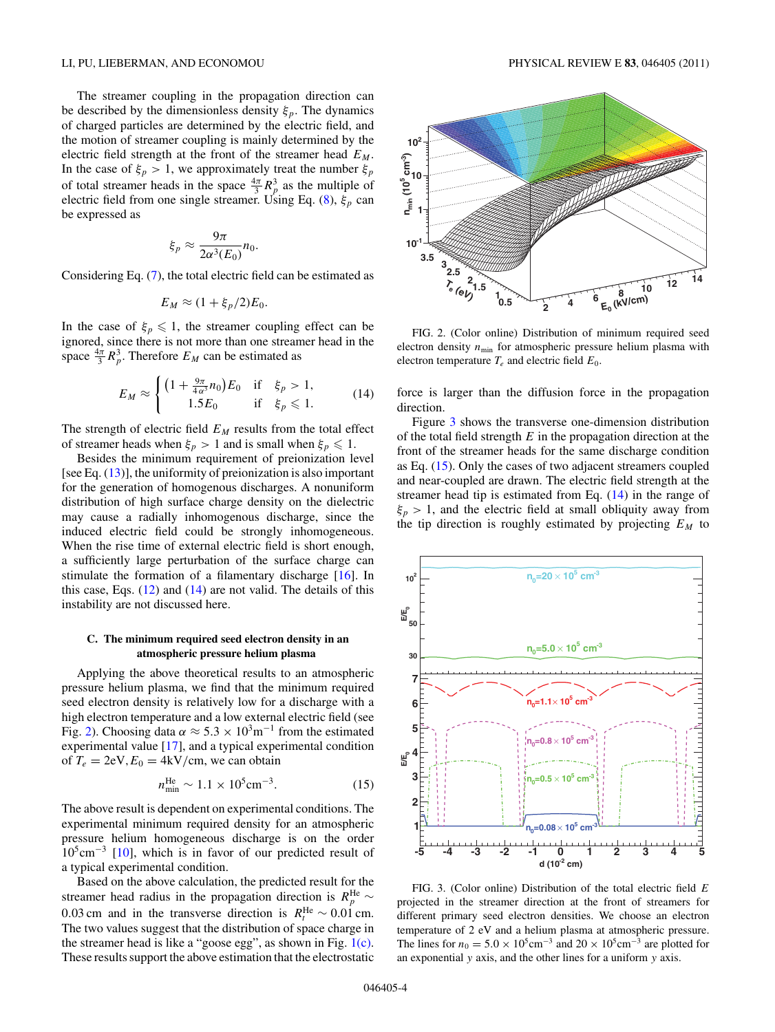<span id="page-3-0"></span>The streamer coupling in the propagation direction can be described by the dimensionless density  $\xi_p$ . The dynamics of charged particles are determined by the electric field, and the motion of streamer coupling is mainly determined by the electric field strength at the front of the streamer head *EM*. In the case of  $\xi_p > 1$ , we approximately treat the number  $\xi_p$ of total streamer heads in the space  $\frac{4\pi}{3}R_p^3$  as the multiple of electric field from one single streamer. Using Eq. [\(8\)](#page-2-0),  $\xi_p$  can be expressed as

$$
\xi_p \approx \frac{9\pi}{2\alpha^3(E_0)} n_0.
$$

Considering Eq. [\(7\)](#page-1-0), the total electric field can be estimated as

$$
E_M \approx (1+\xi_p/2)E_0.
$$

In the case of  $\xi_p \leq 1$ , the streamer coupling effect can be ignored, since there is not more than one streamer head in the space  $\frac{4\pi}{3}R_p^3$ . Therefore  $E_M$  can be estimated as

$$
E_M \approx \begin{cases} \left(1 + \frac{9\pi}{4\alpha^3} n_0\right) E_0 & \text{if } \xi_p > 1, \\ 1.5 E_0 & \text{if } \xi_p \leq 1. \end{cases} \tag{14}
$$

The strength of electric field  $E_M$  results from the total effect of streamer heads when  $\xi_p > 1$  and is small when  $\xi_p \leq 1$ .

Besides the minimum requirement of preionization level [see Eq.  $(13)$ ], the uniformity of preionization is also important for the generation of homogenous discharges. A nonuniform distribution of high surface charge density on the dielectric may cause a radially inhomogenous discharge, since the induced electric field could be strongly inhomogeneous. When the rise time of external electric field is short enough, a sufficiently large perturbation of the surface charge can stimulate the formation of a filamentary discharge [\[16\]](#page-6-0). In this case, Eqs.  $(12)$  and  $(14)$  are not valid. The details of this instability are not discussed here.

# **C. The minimum required seed electron density in an atmospheric pressure helium plasma**

Applying the above theoretical results to an atmospheric pressure helium plasma, we find that the minimum required seed electron density is relatively low for a discharge with a high electron temperature and a low external electric field (see Fig. 2). Choosing data  $\alpha \approx 5.3 \times 10^3 \text{m}^{-1}$  from the estimated experimental value [\[17\]](#page-6-0), and a typical experimental condition of  $T_e = 2eV, E_0 = 4kV/cm$ , we can obtain

$$
n_{\min}^{\text{He}} \sim 1.1 \times 10^5 \text{cm}^{-3}.
$$
 (15)

The above result is dependent on experimental conditions. The experimental minimum required density for an atmospheric pressure helium homogeneous discharge is on the order 105cm−<sup>3</sup> [\[10\]](#page-6-0), which is in favor of our predicted result of a typical experimental condition.

Based on the above calculation, the predicted result for the streamer head radius in the propagation direction is  $R_p^{\text{He}} \sim$ 0.03 cm and in the transverse direction is  $R_t^{\text{He}} \sim 0.01 \text{ cm}$ . The two values suggest that the distribution of space charge in the streamer head is like a "goose egg", as shown in Fig. [1\(c\).](#page-1-0) These results support the above estimation that the electrostatic



FIG. 2. (Color online) Distribution of minimum required seed electron density  $n_{\min}$  for atmospheric pressure helium plasma with electron temperature  $T_e$  and electric field  $E_0$ .

force is larger than the diffusion force in the propagation direction.

Figure 3 shows the transverse one-dimension distribution of the total field strength *E* in the propagation direction at the front of the streamer heads for the same discharge condition as Eq. (15). Only the cases of two adjacent streamers coupled and near-coupled are drawn. The electric field strength at the streamer head tip is estimated from Eq.  $(14)$  in the range of *ξp >* 1, and the electric field at small obliquity away from the tip direction is roughly estimated by projecting  $E_M$  to



FIG. 3. (Color online) Distribution of the total electric field *E* projected in the streamer direction at the front of streamers for different primary seed electron densities. We choose an electron temperature of 2 eV and a helium plasma at atmospheric pressure. The lines for  $n_0 = 5.0 \times 10^5$ cm<sup>-3</sup> and  $20 \times 10^5$ cm<sup>-3</sup> are plotted for an exponential *y* axis, and the other lines for a uniform *y* axis.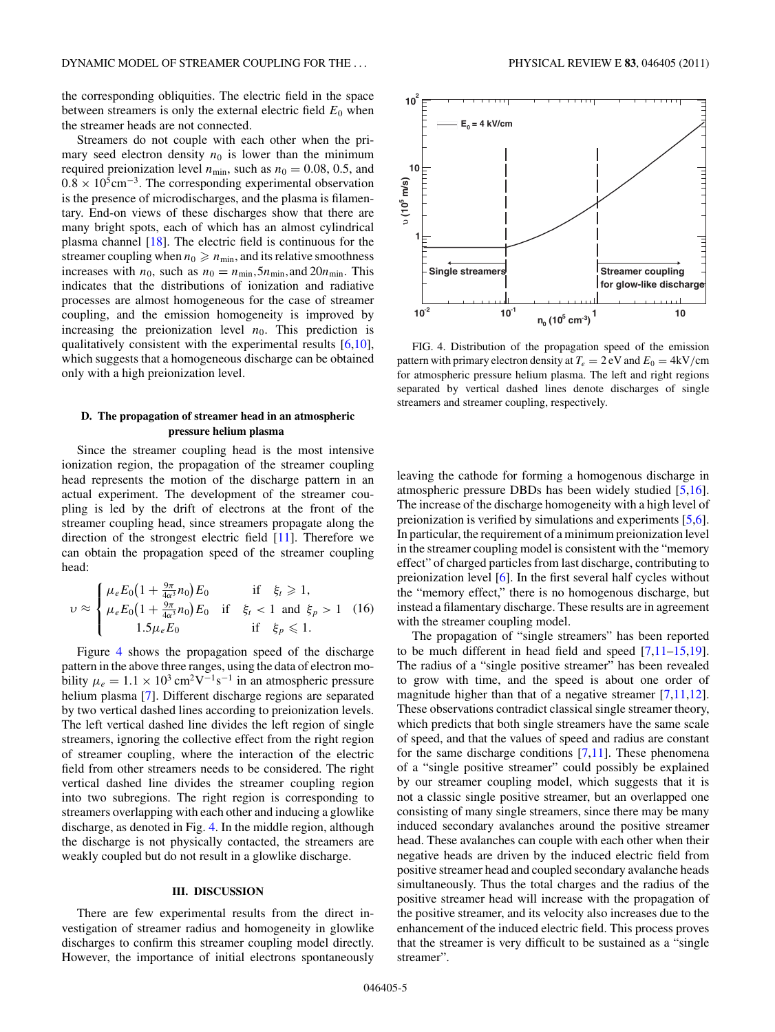<span id="page-4-0"></span>the corresponding obliquities. The electric field in the space between streamers is only the external electric field  $E_0$  when the streamer heads are not connected.

Streamers do not couple with each other when the primary seed electron density  $n_0$  is lower than the minimum required preionization level  $n_{\text{min}}$ , such as  $n_0 = 0.08, 0.5$ , and  $0.8 \times 10^5$ cm<sup>-3</sup>. The corresponding experimental observation is the presence of microdischarges, and the plasma is filamentary. End-on views of these discharges show that there are many bright spots, each of which has an almost cylindrical plasma channel  $[18]$ . The electric field is continuous for the streamer coupling when  $n_0 \geqslant n_{\min}$ , and its relative smoothness increases with  $n_0$ , such as  $n_0 = n_{\min}, 5n_{\min}$ , and  $20n_{\min}$ . This indicates that the distributions of ionization and radiative processes are almost homogeneous for the case of streamer coupling, and the emission homogeneity is improved by increasing the preionization level  $n_0$ . This prediction is qualitatively consistent with the experimental results [\[6,10\]](#page-6-0), which suggests that a homogeneous discharge can be obtained only with a high preionization level.

# **D. The propagation of streamer head in an atmospheric pressure helium plasma**

Since the streamer coupling head is the most intensive ionization region, the propagation of the streamer coupling head represents the motion of the discharge pattern in an actual experiment. The development of the streamer coupling is led by the drift of electrons at the front of the streamer coupling head, since streamers propagate along the direction of the strongest electric field [\[11\]](#page-6-0). Therefore we can obtain the propagation speed of the streamer coupling head:

$$
\upsilon \approx \begin{cases} \mu_e E_0 \left( 1 + \frac{9\pi}{4\alpha^3} n_0 \right) E_0 & \text{if } \xi_t \ge 1, \\ \mu_e E_0 \left( 1 + \frac{9\pi}{4\alpha^3} n_0 \right) E_0 & \text{if } \xi_t < 1 \text{ and } \xi_p > 1 \quad (16) \\ 1.5 \mu_e E_0 & \text{if } \xi_p \le 1. \end{cases}
$$

Figure 4 shows the propagation speed of the discharge pattern in the above three ranges, using the data of electron mobility  $\mu_e = 1.1 \times 10^3 \text{ cm}^2 \text{V}^{-1} \text{s}^{-1}$  in an atmospheric pressure helium plasma [\[7\]](#page-6-0). Different discharge regions are separated by two vertical dashed lines according to preionization levels. The left vertical dashed line divides the left region of single streamers, ignoring the collective effect from the right region of streamer coupling, where the interaction of the electric field from other streamers needs to be considered. The right vertical dashed line divides the streamer coupling region into two subregions. The right region is corresponding to streamers overlapping with each other and inducing a glowlike discharge, as denoted in Fig. 4. In the middle region, although the discharge is not physically contacted, the streamers are weakly coupled but do not result in a glowlike discharge.

#### **III. DISCUSSION**

There are few experimental results from the direct investigation of streamer radius and homogeneity in glowlike discharges to confirm this streamer coupling model directly. However, the importance of initial electrons spontaneously



FIG. 4. Distribution of the propagation speed of the emission pattern with primary electron density at  $T_e = 2$  eV and  $E_0 = 4$ kV/cm for atmospheric pressure helium plasma. The left and right regions separated by vertical dashed lines denote discharges of single streamers and streamer coupling, respectively.

leaving the cathode for forming a homogenous discharge in atmospheric pressure DBDs has been widely studied [\[5,16\]](#page-6-0). The increase of the discharge homogeneity with a high level of preionization is verified by simulations and experiments [\[5,6\]](#page-6-0). In particular, the requirement of a minimum preionization level in the streamer coupling model is consistent with the "memory effect" of charged particles from last discharge, contributing to preionization level [\[6\]](#page-6-0). In the first several half cycles without the "memory effect," there is no homogenous discharge, but instead a filamentary discharge. These results are in agreement with the streamer coupling model.

The propagation of "single streamers" has been reported to be much different in head field and speed [\[7,11–15,19\]](#page-6-0). The radius of a "single positive streamer" has been revealed to grow with time, and the speed is about one order of magnitude higher than that of a negative streamer [\[7,11,12\]](#page-6-0). These observations contradict classical single streamer theory, which predicts that both single streamers have the same scale of speed, and that the values of speed and radius are constant for the same discharge conditions [\[7,11\]](#page-6-0). These phenomena of a "single positive streamer" could possibly be explained by our streamer coupling model, which suggests that it is not a classic single positive streamer, but an overlapped one consisting of many single streamers, since there may be many induced secondary avalanches around the positive streamer head. These avalanches can couple with each other when their negative heads are driven by the induced electric field from positive streamer head and coupled secondary avalanche heads simultaneously. Thus the total charges and the radius of the positive streamer head will increase with the propagation of the positive streamer, and its velocity also increases due to the enhancement of the induced electric field. This process proves that the streamer is very difficult to be sustained as a "single streamer".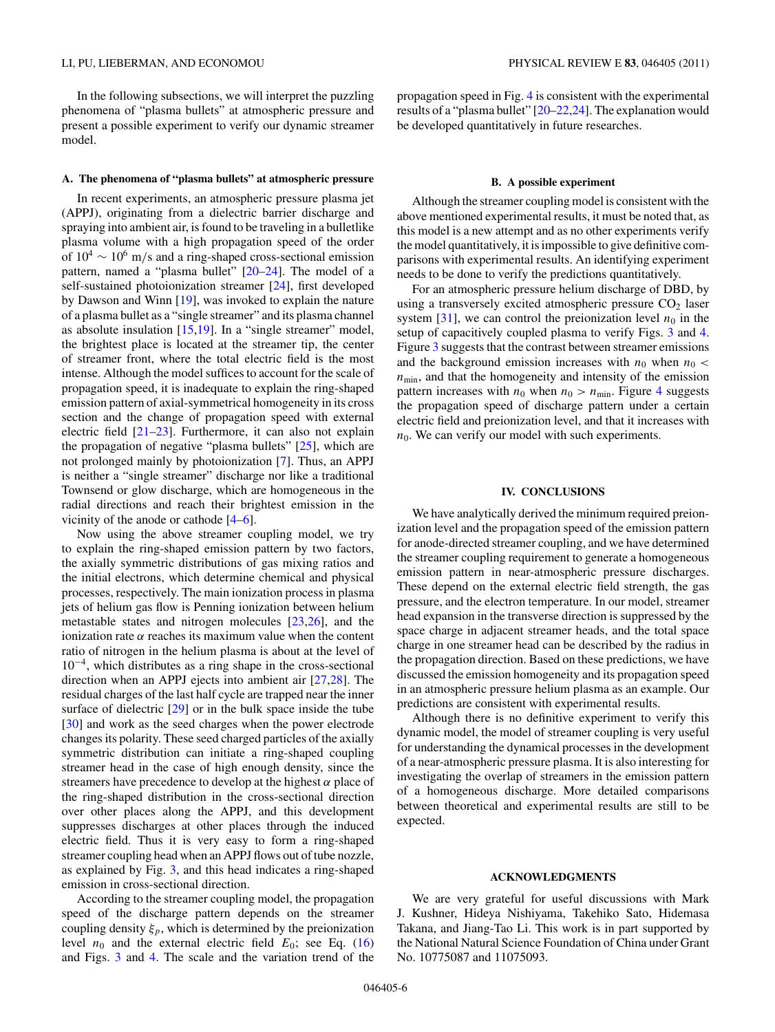In the following subsections, we will interpret the puzzling phenomena of "plasma bullets" at atmospheric pressure and present a possible experiment to verify our dynamic streamer model.

# **A. The phenomena of "plasma bullets" at atmospheric pressure**

In recent experiments, an atmospheric pressure plasma jet (APPJ), originating from a dielectric barrier discharge and spraying into ambient air, is found to be traveling in a bulletlike plasma volume with a high propagation speed of the order of 104 <sup>∼</sup> 106 <sup>m</sup>*/*s and a ring-shaped cross-sectional emission pattern, named a "plasma bullet" [\[20–24\]](#page-6-0). The model of a self-sustained photoionization streamer [\[24\]](#page-6-0), first developed by Dawson and Winn [\[19\]](#page-6-0), was invoked to explain the nature of a plasma bullet as a "single streamer" and its plasma channel as absolute insulation [\[15,19\]](#page-6-0). In a "single streamer" model, the brightest place is located at the streamer tip, the center of streamer front, where the total electric field is the most intense. Although the model suffices to account for the scale of propagation speed, it is inadequate to explain the ring-shaped emission pattern of axial-symmetrical homogeneity in its cross section and the change of propagation speed with external electric field [\[21–23\]](#page-6-0). Furthermore, it can also not explain the propagation of negative "plasma bullets"  $[25]$ , which are not prolonged mainly by photoionization [\[7\]](#page-6-0). Thus, an APPJ is neither a "single streamer" discharge nor like a traditional Townsend or glow discharge, which are homogeneous in the radial directions and reach their brightest emission in the vicinity of the anode or cathode  $[4–6]$ .

Now using the above streamer coupling model, we try to explain the ring-shaped emission pattern by two factors, the axially symmetric distributions of gas mixing ratios and the initial electrons, which determine chemical and physical processes, respectively. The main ionization process in plasma jets of helium gas flow is Penning ionization between helium metastable states and nitrogen molecules [\[23,26\]](#page-6-0), and the ionization rate  $\alpha$  reaches its maximum value when the content ratio of nitrogen in the helium plasma is about at the level of  $10^{-4}$ , which distributes as a ring shape in the cross-sectional direction when an APPJ ejects into ambient air [\[27,28\]](#page-6-0). The residual charges of the last half cycle are trapped near the inner surface of dielectric [\[29\]](#page-6-0) or in the bulk space inside the tube [\[30\]](#page-6-0) and work as the seed charges when the power electrode changes its polarity. These seed charged particles of the axially symmetric distribution can initiate a ring-shaped coupling streamer head in the case of high enough density, since the streamers have precedence to develop at the highest *α* place of the ring-shaped distribution in the cross-sectional direction over other places along the APPJ, and this development suppresses discharges at other places through the induced electric field. Thus it is very easy to form a ring-shaped streamer coupling head when an APPJ flows out of tube nozzle, as explained by Fig. [3,](#page-3-0) and this head indicates a ring-shaped emission in cross-sectional direction.

According to the streamer coupling model, the propagation speed of the discharge pattern depends on the streamer coupling density  $\xi_p$ , which is determined by the preionization level  $n_0$  and the external electric field  $E_0$ ; see Eq. [\(16\)](#page-4-0) and Figs. [3](#page-3-0) and [4.](#page-4-0) The scale and the variation trend of the

propagation speed in Fig. [4](#page-4-0) is consistent with the experimental results of a "plasma bullet" [\[20–22,24\]](#page-6-0). The explanation would be developed quantitatively in future researches.

#### **B. A possible experiment**

Although the streamer coupling model is consistent with the above mentioned experimental results, it must be noted that, as this model is a new attempt and as no other experiments verify the model quantitatively, it is impossible to give definitive comparisons with experimental results. An identifying experiment needs to be done to verify the predictions quantitatively.

For an atmospheric pressure helium discharge of DBD, by using a transversely excited atmospheric pressure  $CO<sub>2</sub>$  laser system  $[31]$ , we can control the preionization level  $n_0$  in the setup of capacitively coupled plasma to verify Figs. [3](#page-3-0) and [4.](#page-4-0) Figure [3](#page-3-0) suggests that the contrast between streamer emissions and the background emission increases with  $n_0$  when  $n_0$  <  $n_{\text{min}}$ , and that the homogeneity and intensity of the emission pattern increases with  $n_0$  when  $n_0 > n_{min}$ . Figure [4](#page-4-0) suggests the propagation speed of discharge pattern under a certain electric field and preionization level, and that it increases with  $n_0$ . We can verify our model with such experiments.

# **IV. CONCLUSIONS**

We have analytically derived the minimum required preionization level and the propagation speed of the emission pattern for anode-directed streamer coupling, and we have determined the streamer coupling requirement to generate a homogeneous emission pattern in near-atmospheric pressure discharges. These depend on the external electric field strength, the gas pressure, and the electron temperature. In our model, streamer head expansion in the transverse direction is suppressed by the space charge in adjacent streamer heads, and the total space charge in one streamer head can be described by the radius in the propagation direction. Based on these predictions, we have discussed the emission homogeneity and its propagation speed in an atmospheric pressure helium plasma as an example. Our predictions are consistent with experimental results.

Although there is no definitive experiment to verify this dynamic model, the model of streamer coupling is very useful for understanding the dynamical processes in the development of a near-atmospheric pressure plasma. It is also interesting for investigating the overlap of streamers in the emission pattern of a homogeneous discharge. More detailed comparisons between theoretical and experimental results are still to be expected.

# **ACKNOWLEDGMENTS**

We are very grateful for useful discussions with Mark J. Kushner, Hideya Nishiyama, Takehiko Sato, Hidemasa Takana, and Jiang-Tao Li. This work is in part supported by the National Natural Science Foundation of China under Grant No. 10775087 and 11075093.